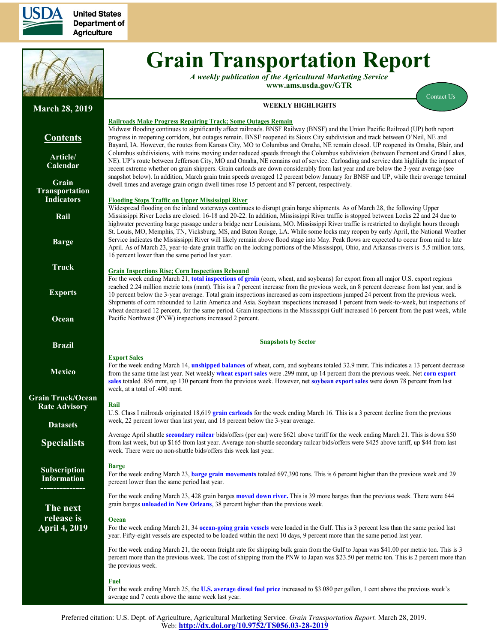

**United States Department of Agriculture** 



# **Grain Transportation Report**

*A weekly publication of the Agricultural Marketing Service*  **www.ams.usda.gov/GTR**

**WEEKLY HIGHLIGHTS** 

[Contact Us](mailto:Surajudeen.Olowolayemo@ams.usda.gov) 

#### **March 28, 2019 Contents [Article/](#page-1-0) [Calendar](#page-1-0) [Grain](#page-3-0) [Transportation](#page-3-0) [Indicators](#page-3-0) [Rail](#page-4-0) [Barge](#page-10-0) [Truck](#page-13-0) [Exports](#page-14-0) [Ocean](#page-18-0) [Brazil](https://www.ams.usda.gov/services/transportation-analysis/brazil) [Mexico](https://www.ams.usda.gov/services/transportation-analysis/mexico) [Grain Truck/Ocean](https://www.ams.usda.gov/services/transportation-analysis/gtor) [Rate Advisory](https://www.ams.usda.gov/services/transportation-analysis/gtor) [Datase](https://www.ams.usda.gov/services/transportation-analysis/gtr-datasets)ts [Specialists](#page-21-0) [Subscription](#page-21-0)  [Information](#page-21-0) -------------- The next release is April 4, 2019 Railroads Make Progress Repairing Track; Some Outages Remain** Midwest flooding continues to significantly affect railroads. BNSF Railway (BNSF) and the Union Pacific Railroad (UP) both report progress in reopening corridors, but outages remain. BNSF reopened its Sioux City subdivision and track between O'Neil, NE and Bayard, IA. However, the routes from Kansas City, MO to Columbus and Omaha, NE remain closed. UP reopened its Omaha, Blair, and Columbus subdivisions, with trains moving under reduced speeds through the Columbus subdivision (between Fremont and Grand Lakes, NE). UP's route between Jefferson City, MO and Omaha, NE remains out of service. Carloading and service data highlight the impact of recent extreme whether on grain shippers. Grain carloads are down considerably from last year and are below the 3-year average (see snapshot below). In addition, March grain train speeds averaged 12 percent below January for BNSF and UP, while their average terminal dwell times and average grain origin dwell times rose 15 percent and 87 percent, respectively. **Flooding Stops Traffic on Upper Mississippi River**  Widespread flooding on the inland waterways continues to disrupt grain barge shipments. As of March 28, the following Upper Mississippi River Locks are closed: 16-18 and 20-22. In addition, Mississippi River traffic is stopped between Locks 22 and 24 due to highwater preventing barge passage under a bridge near Louisiana, MO. Mississippi River traffic is restricted to daylight hours through St. Louis, MO, Memphis, TN, Vicksburg, MS, and Baton Rouge, LA. While some locks may reopen by early April, the National Weather Service indicates the Mississippi River will likely remain above flood stage into May. Peak flows are expected to occur from mid to late April. As of March 23, year-to-date grain traffic on the locking portions of the Mississippi, Ohio, and Arkansas rivers is 5.5 million tons, 16 percent lower than the same period last year. **Grain Inspections Rise; Corn Inspections Rebound**  For the week ending March 21, **[total inspections of grain](#page-16-0)** (corn, wheat, and soybeans) for export from all major U.S. export regions reached 2.24 million metric tons (mmt). This is a 7 percent increase from the previous week, an 8 percent decrease from last year, and is 10 percent below the 3-year average. Total grain inspections increased as corn inspections jumped 24 percent from the previous week. Shipments of corn rebounded to Latin America and Asia. Soybean inspections increased 1 percent from week-to-week, but inspections of wheat decreased 12 percent, for the same period. Grain inspections in the Mississippi Gulf increased 16 percent from the past week, while Pacific Northwest (PNW) inspections increased 2 percent. **Snapshots by Sector Export Sales**  For the week ending March 14, **[unshipped balances](#page-14-1)** of wheat, corn, and soybeans totaled 32.9 mmt. This indicates a 13 percent decrease from the same time last year. Net weekly **[wheat export sales](#page-15-0)** were .299 mmt, up 14 percent from the previous week. Net **[corn export](#page-14-1)  [sales](#page-14-1)** totaled .856 mmt, up 130 percent from the previous week. However, net **[soybean export sales](#page-15-0)** were down 78 percent from last week, at a total of .400 mmt. **Rail**  U.S. Class I railroads originated 18,619 **[grain carloads](#page-5-0)** for the week ending March 16. This is a 3 percent decline from the previous week, 22 percent lower than last year, and 18 percent below the 3-year average. Average April shuttle **[secondary railcar](#page-6-0)** bids/offers (per car) were \$621 above tariff for the week ending March 21. This is down \$50 from last week, but up \$165 from last year. Average non-shuttle secondary railcar bids/offers were \$425 above tariff, up \$44 from last week. There were no non-shuttle bids/offers this week last year. **Barge** For the week ending March 23, **[barge grain movements](#page-11-0)** totaled 697,390 tons. This is 6 percent higher than the previous week and 29 percent lower than the same period last year. For the week ending March 23, 428 grain barges **[moved down river.](#page-12-0)** This is 39 more barges than the previous week. There were 644 grain barges **[unloaded in New Orleans](#page-12-0)**, 38 percent higher than the previous week. **Ocean**  For the week ending March 21, 34 **[ocean-going grain vessels](#page-18-1)** were loaded in the Gulf. This is 3 percent less than the same period last year. Fifty-eight vessels are expected to be loaded within the next 10 days, 9 percent more than the same period last year. For the week ending March 21, the ocean freight rate for shipping bulk grain from the Gulf to Japan was \$41.00 per metric ton. This is 3 percent more than the previous week. The cost of shipping from the PNW to Japan was \$23.50 per metric ton. This is 2 percent more than the previous week. **Fuel**  For the week ending March 25, the **[U.S. average diesel fuel price](#page-13-1)** increased to \$3.080 per gallon, 1 cent above the previous week's average and 7 cents above the same week last year.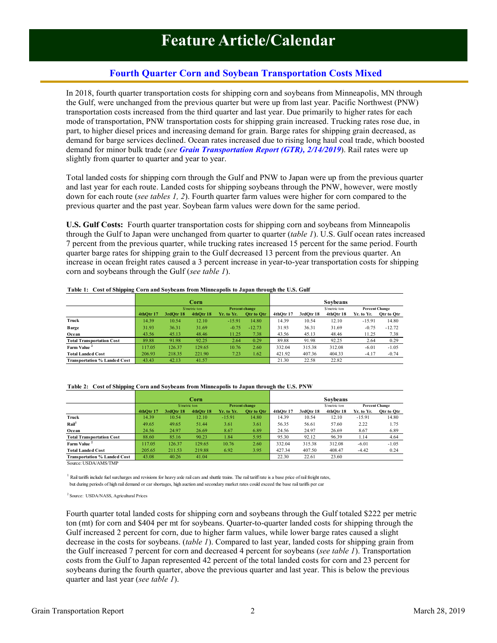# **Fourth Quarter Corn and Soybean Transportation Costs Mixed**

<span id="page-1-0"></span>In 2018, fourth quarter transportation costs for shipping corn and soybeans from Minneapolis, MN through the Gulf, were unchanged from the previous quarter but were up from last year. Pacific Northwest (PNW) transportation costs increased from the third quarter and last year. Due primarily to higher rates for each mode of transportation, PNW transportation costs for shipping grain increased. Trucking rates rose due, in part, to higher diesel prices and increasing demand for grain. Barge rates for shipping grain decreased, as demand for barge services declined. Ocean rates increased due to rising long haul coal trade, which boosted demand for minor bulk trade (*see [Grain Transportation](https://www.ams.usda.gov/sites/default/files/media/GTR02142019.pdf) Report (GTR), 2/14/2019*). Rail rates were up slightly from quarter to quarter and year to year.

Total landed costs for shipping corn through the Gulf and PNW to Japan were up from the previous quarter and last year for each route. Landed costs for shipping soybeans through the PNW, however, were mostly down for each route (*see tables 1, 2*). Fourth quarter farm values were higher for corn compared to the previous quarter and the past year. Soybean farm values were down for the same period.

**U.S. Gulf Costs:** Fourth quarter transportation costs for shipping corn and soybeans from Minneapolis through the Gulf to Japan were unchanged from quarter to quarter (*table 1*). U.S. Gulf ocean rates increased 7 percent from the previous quarter, while trucking rates increased 15 percent for the same period. Fourth quarter barge rates for shipping grain to the Gulf decreased 13 percent from the previous quarter. An increase in ocean freight rates caused a 3 percent increase in year-to-year transportation costs for shipping corn and soybeans through the Gulf (*see table 1*).

|                                     |           |              | Corn           |            |                       |           |              | <b>Sovbeans</b> |                       |            |
|-------------------------------------|-----------|--------------|----------------|------------|-----------------------|-----------|--------------|-----------------|-----------------------|------------|
|                                     |           |              | $$/metric$ ton |            | <b>Percent change</b> |           | S/metric ton |                 | <b>Percent Change</b> |            |
|                                     | 4thOtr 17 | $3rdO$ tr 18 | 4thOtr 18      | Yr. to Yr. | Otr to Otr            | 4thOtr 17 | 3rdOtr 18    | 4thOtr 18       | Yr. to Yr.            | Otr to Otr |
| Truck                               | 14.39     | 10.54        | 12.10          | $-15.91$   | 14.80                 | 14.39     | 10.54        | 12.10           | $-15.91$              | 14.80      |
| Barge                               | 31.93     | 36.31        | 31.69          | $-0.75$    | $-12.73$              | 31.93     | 36.31        | 31.69           | $-0.75$               | $-12.72$   |
| Ocean                               | 43.56     | 45.13        | 48.46          | 11.25      | 7.38                  | 43.56     | 45.13        | 48.46           | 11.25                 | 7.38       |
| <b>Total Transportation Cost</b>    | 89.88     | 91.98        | 92.25          | 2.64       | 0.29                  | 89.88     | 91.98        | 92.25           | 2.64                  | 0.29       |
| Farm Value <sup>2</sup>             | 117.05    | 126.37       | 129.65         | 10.76      | 2.60                  | 332.04    | 315.38       | 312.08          | $-6.01$               | $-1.05$    |
| <b>Total Landed Cost</b>            | 206.93    | 218.35       | 221.90         | 7.23       | 1.62                  | 421.92    | 407.36       | 404.33          | $-4.17$               | $-0.74$    |
| <b>Transportation % Landed Cost</b> | 43.43     | 42.13        | 41.57          |            |                       | 21.30     | 22.58        | 22.82           |                       |            |

**Table 1: Cost of Shipping Corn and Soybeans from Minneapolis to Japan through the U.S. Gulf**

|                                     |           | Corn         |           |            |                |           | Sovbeans     |           |            |                       |  |
|-------------------------------------|-----------|--------------|-----------|------------|----------------|-----------|--------------|-----------|------------|-----------------------|--|
|                                     |           | S/metric ton |           |            | Percent change |           | S/metric ton |           |            | <b>Percent Change</b> |  |
|                                     | 4thOtr 17 | 3rdOtr 18    | 4thOtr 18 | Yr. to Yr. | Otr to Otr     | 4thOtr 17 | 3rdOtr 18    | 4thOtr 18 | Yr. to Yr. | Otr to Otr            |  |
| Truck                               | 14.39     | 10.54        | 12.10     | $-15.91$   | 14.80          | 14.39     | 10.54        | 12.10     | $-15.91$   | 14.80                 |  |
| Rain <sup>1</sup>                   | 49.65     | 49.65        | 51.44     | 3.61       | 3.61           | 56.35     | 56.61        | 57.60     | 2.22       | 1.75                  |  |
| Ocean                               | 24.56     | 24.97        | 26.69     | 8.67       | 6.89           | 24.56     | 24.97        | 26.69     | 8.67       | 6.89                  |  |
| <b>Total Transportation Cost</b>    | 88.60     | 85.16        | 90.23     | 1.84       | 5.95           | 95.30     | 92.12        | 96.39     | 1.14       | 4.64                  |  |
| Farm Value                          | 117.05    | 126.37       | 129.65    | 10.76      | 2.60           | 332.04    | 315.38       | 312.08    | $-6.01$    | $-1.05$               |  |
| <b>Total Landed Cost</b>            | 205.65    | 211.53       | 219.88    | 6.92       | 3.95           | 427.34    | 407.50       | 408.47    | $-4.42$    | 0.24                  |  |
| <b>Transportation % Landed Cost</b> | 43.08     | 40.26        | 41.04     |            |                | 22.30     | 22.61        | 23.60     |            |                       |  |

**Table 2: Cost of Shipping Corn and Soybeans from Minneapolis to Japan through the U.S. PNW**

Source: USDA/AMS/TMP

<sup>1</sup> Rail tariffs include fuel surcharges and revisions for heavy axle rail cars and shuttle trains. The rail tariff rate is a base price of rail freight rates, but during periods of high rail demand or car shortages, high auction and secondary market rates could exceed the base rail tariffs per car

<sup>2</sup> Source: USDA/NASS, Agricultural Prices

Fourth quarter total landed costs for shipping corn and soybeans through the Gulf totaled \$222 per metric ton (mt) for corn and \$404 per mt for soybeans. Quarter-to-quarter landed costs for shipping through the Gulf increased 2 percent for corn, due to higher farm values, while lower barge rates caused a slight decrease in the costs for soybeans. (*table 1*). Compared to last year, landed costs for shipping grain from the Gulf increased 7 percent for corn and decreased 4 percent for soybeans (*see table 1*). Transportation costs from the Gulf to Japan represented 42 percent of the total landed costs for corn and 23 percent for soybeans during the fourth quarter, above the previous quarter and last year. This is below the previous quarter and last year (*see table 1*).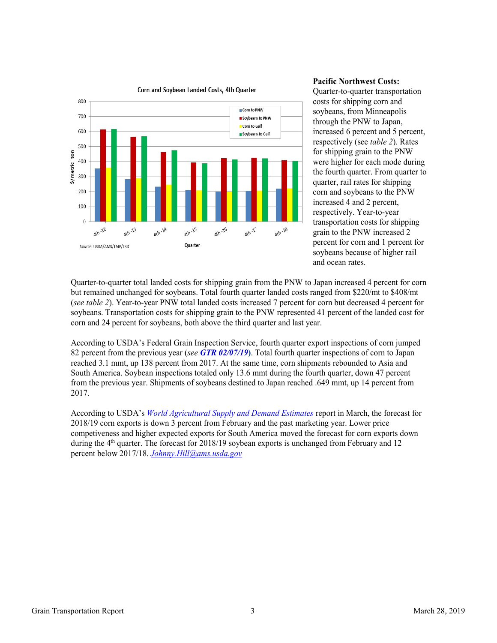

# Corn and Soybean Landed Costs, 4th Quarter

#### **Pacific Northwest Costs:**

Quarter-to-quarter transportation costs for shipping corn and soybeans, from Minneapolis through the PNW to Japan, increased 6 percent and 5 percent, respectively (see *table 2*). Rates for shipping grain to the PNW were higher for each mode during the fourth quarter. From quarter to quarter, rail rates for shipping corn and soybeans to the PNW increased 4 and 2 percent, respectively. Year-to-year transportation costs for shipping grain to the PNW increased 2 percent for corn and 1 percent for soybeans because of higher rail and ocean rates.

Quarter-to-quarter total landed costs for shipping grain from the PNW to Japan increased 4 percent for corn but remained unchanged for soybeans. Total fourth quarter landed costs ranged from \$220/mt to \$408/mt (*see table 2*). Year-to-year PNW total landed costs increased 7 percent for corn but decreased 4 percent for soybeans. Transportation costs for shipping grain to the PNW represented 41 percent of the landed cost for corn and 24 percent for soybeans, both above the third quarter and last year.

According to USDA's Federal Grain Inspection Service, fourth quarter export inspections of corn jumped 82 percent from the previous year (*see [GTR 02/07/19](https://www.ams.usda.gov/sites/default/files/media/GTR02072019.pdf)***)**. Total fourth quarter inspections of corn to Japan reached 3.1 mmt, up 138 percent from 2017. At the same time, corn shipments rebounded to Asia and South America. Soybean inspections totaled only 13.6 mmt during the fourth quarter, down 47 percent from the previous year. Shipments of soybeans destined to Japan reached .649 mmt, up 14 percent from 2017.

According to USDA's *[World Agricultural Supply and Demand Estimates](https://www.usda.gov/oce/commodity/wasde/wasde0319.pdf)* report in March, the forecast for 2018/19 corn exports is down 3 percent from February and the past marketing year. Lower price competiveness and higher expected exports for South America moved the forecast for corn exports down during the 4<sup>th</sup> quarter. The forecast for 2018/19 soybean exports is unchanged from February and 12 percent below 2017/18. *Johnny.Hill@ams.usda.gov*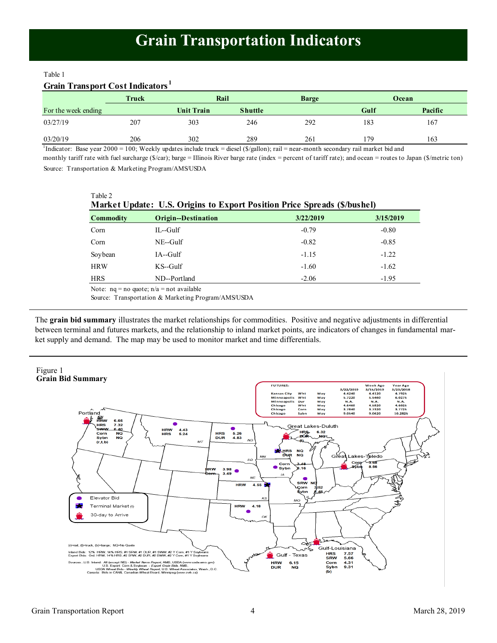#### <span id="page-3-0"></span>Table 1

#### **Grain Transport Cost Indicators <sup>1</sup>**

 $Table 2$ 

|                     | Truck | Rail       |                | <b>Barge</b> |      | Ocean   |
|---------------------|-------|------------|----------------|--------------|------|---------|
| For the week ending |       | Unit Train | <b>Shuttle</b> |              | Gulf | Pacific |
| 03/27/19            | 207   | 303        | 246            | 292          | 183  | 167     |
| 03/20/19            | 206   | 302        | 289            | 261          | '79  | 163     |

<sup>1</sup>Indicator: Base year 2000 = 100; Weekly updates include truck = diesel (\$/gallon); rail = near-month secondary rail market bid and

Source: Transportation & Marketing Program/AMS/USDA monthly tariff rate with fuel surcharge (\$/car); barge = Illinois River barge rate (index = percent of tariff rate); and ocean = routes to Japan (\$/metric ton)

| $\alpha$ UK $\alpha$<br>Market Update: U.S. Origins to Export Position Price Spreads (\$/bushel) |                            |           |           |  |  |  |  |  |  |
|--------------------------------------------------------------------------------------------------|----------------------------|-----------|-----------|--|--|--|--|--|--|
| <b>Commodity</b>                                                                                 | <b>Origin--Destination</b> | 3/22/2019 | 3/15/2019 |  |  |  |  |  |  |
| Corn                                                                                             | IL--Gulf                   | $-0.79$   | $-0.80$   |  |  |  |  |  |  |
| Corn                                                                                             | $NE$ -Gulf                 | $-0.82$   | $-0.85$   |  |  |  |  |  |  |
| Soybean                                                                                          | IA--Gulf                   | $-1.15$   | $-1.22$   |  |  |  |  |  |  |
| <b>HRW</b>                                                                                       | $KS$ -Gulf                 | $-1.60$   | $-1.62$   |  |  |  |  |  |  |
| <b>HRS</b>                                                                                       | ND--Portland               | $-2.06$   | $-1.95$   |  |  |  |  |  |  |
| Note: $nq = no$ quote; $n/a = not$ available                                                     |                            |           |           |  |  |  |  |  |  |

Source: Transportation & Marketing Program/AMS/USDA

The **grain bid summary** illustrates the market relationships for commodities. Positive and negative adjustments in differential between terminal and futures markets, and the relationship to inland market points, are indicators of changes in fundamental market supply and demand. The map may be used to monitor market and time differentials.

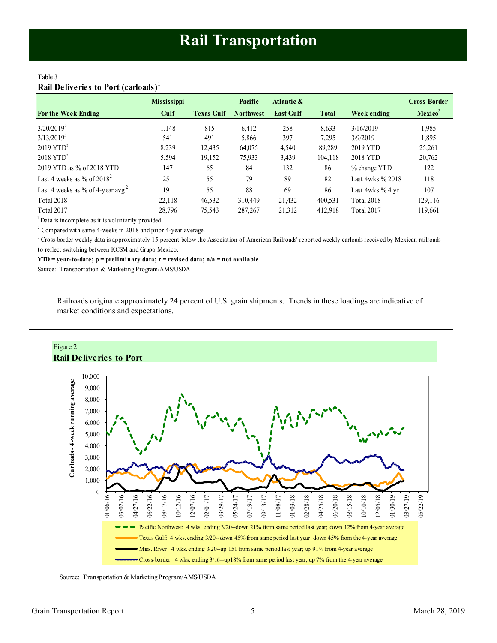## <span id="page-4-0"></span>Table 3 **Rail Deliveries to Port (carloads)<sup>1</sup>**

|                                               | <b>Mississippi</b> |                   | Pacific          | Atlantic &       |              |                    | <b>Cross-Border</b> |
|-----------------------------------------------|--------------------|-------------------|------------------|------------------|--------------|--------------------|---------------------|
| <b>For the Week Ending</b>                    | Gulf               | <b>Texas Gulf</b> | <b>Northwest</b> | <b>East Gulf</b> | <b>Total</b> | <b>Week ending</b> | Mexico <sup>3</sup> |
| $3/20/2019^p$                                 | 1.148              | 815               | 6,412            | 258              | 8,633        | 3/16/2019          | 1,985               |
| $3/13/2019$ <sup>r</sup>                      | 541                | 491               | 5,866            | 397              | 7.295        | 3/9/2019           | 1,895               |
| $2019$ YTD <sup>r</sup>                       | 8.239              | 12,435            | 64,075           | 4,540            | 89.289       | 2019 YTD           | 25,261              |
| $2018$ YTD <sup>r</sup>                       | 5,594              | 19,152            | 75,933           | 3,439            | 104.118      | 2018 YTD           | 20,762              |
| 2019 YTD as % of 2018 YTD                     | 147                | 65                | 84               | 132              | 86           | % change YTD       | 122                 |
| Last 4 weeks as % of $2018^2$                 | 251                | 55                | 79               | 89               | 82           | Last 4wks % 2018   | 118                 |
| Last 4 weeks as % of 4-year avg. <sup>2</sup> | 191                | 55                | 88               | 69               | 86           | Last 4wks % 4 yr   | 107                 |
| <b>Total 2018</b>                             | 22,118             | 46,532            | 310,449          | 21,432           | 400,531      | Total 2018         | 129,116             |
| Total 2017                                    | 28,796             | 75,543            | 287, 267         | 21,312           | 412,918      | Total 2017         | 119,661             |

<sup>1</sup> Data is incomplete as it is voluntarily provided

 $2$  Compared with same 4-weeks in 2018 and prior 4-year average.

<sup>3</sup> Cross-border weekly data is approximately 15 percent below the Association of American Railroads' reported weekly carloads received by Mexican railroads to reflect switching between KCSM and Grupo Mexico.

**YTD = year-to-date; p = preliminary data; r = revised data; n/a = not available**

Source: Transportation & Marketing Program/AMS/USDA

Railroads originate approximately 24 percent of U.S. grain shipments. Trends in these loadings are indicative of market conditions and expectations.



Source: Transportation & Marketing Program/AMS/USDA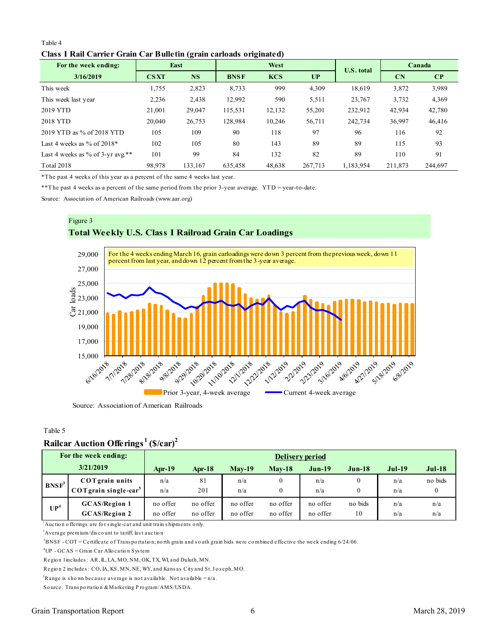#### Table 4 **Class I Rail Carrier Grain Car Bulletin (grain carloads originated)**

<span id="page-5-0"></span>

| Table 4                                                             |             |           |             |            |         |                   |                        |          |  |  |  |
|---------------------------------------------------------------------|-------------|-----------|-------------|------------|---------|-------------------|------------------------|----------|--|--|--|
| Class I Rail Carrier Grain Car Bulletin (grain carloads originated) |             |           |             |            |         |                   |                        |          |  |  |  |
| For the week ending:                                                |             | East      |             | West       |         | <b>U.S.</b> total |                        | Canada   |  |  |  |
| 3/16/2019                                                           | <b>CSXT</b> | <b>NS</b> | <b>BNSF</b> | <b>KCS</b> | UP      |                   | $\mathbf{C}\mathbf{N}$ | $\bf CP$ |  |  |  |
| This week                                                           | 1,755       | 2,823     | 8,733       | 999        | 4,309   | 18.619            | 3,872                  | 3,989    |  |  |  |
| This week last year                                                 | 2,236       | 2,438     | 12,992      | 590        | 5,511   | 23,767            | 3,732                  | 4,369    |  |  |  |
| 2019 YTD                                                            | 21,001      | 29,047    | 115,531     | 12,132     | 55,201  | 232,912           | 42,934                 | 42,780   |  |  |  |
| 2018 YTD                                                            | 20,040      | 26,753    | 128,984     | 10,246     | 56,711  | 242,734           | 36,997                 | 46,416   |  |  |  |
| 2019 YTD as % of 2018 YTD                                           | 105         | 109       | 90          | 118        | 97      | 96                | 116                    | 92       |  |  |  |
| Last 4 weeks as $\%$ of 2018*                                       | 102         | 105       | 80          | 143        | 89      | 89                | 115                    | 93       |  |  |  |
| Last 4 weeks as % of 3-yr avg.**                                    | 101         | 99        | 84          | 132        | 82      | 89                | 110                    | 91       |  |  |  |
| <b>Total 2018</b>                                                   | 98,978      | 133,167   | 635,458     | 48,638     | 267,713 | 1,183,954         | 211,873                | 244,697  |  |  |  |

\*The past 4 weeks of this year as a percent of the same 4 weeks last year.

\*\*The past 4 weeks as a percent of the same period from the prior 3-year average. YTD = year-to-date.

Source: Association of American Railroads (www.aar.org)



Source: Association of American Railroads

#### Table 5

# **Railcar Auction Offerings <sup>1</sup>(\$/car)<sup>2</sup>**

|                                                                                         | Rantal Authon Onthings                                                                                                                                                                                                                                                         | $\mathbf{U}$         |                        |                      |                      |                      |                              |            |                     |  |  |
|-----------------------------------------------------------------------------------------|--------------------------------------------------------------------------------------------------------------------------------------------------------------------------------------------------------------------------------------------------------------------------------|----------------------|------------------------|----------------------|----------------------|----------------------|------------------------------|------------|---------------------|--|--|
|                                                                                         | For the week ending:                                                                                                                                                                                                                                                           |                      | <b>Delivery period</b> |                      |                      |                      |                              |            |                     |  |  |
| 3/21/2019<br>$Mav-19$<br>$Mav-18$<br>$Jun-19$<br>$Apr-19$<br>Apr- $18$<br><b>Jun-18</b> |                                                                                                                                                                                                                                                                                |                      |                        |                      |                      |                      | $Jul-19$                     | $Jul-18$   |                     |  |  |
| BNSF <sup>3</sup>                                                                       | <b>COT</b> grain units<br>$COT$ grain single-car <sup>5</sup>                                                                                                                                                                                                                  | n/a<br>n/a           | 81<br>201              | n/a<br>n/a           | $\Omega$             | n/a<br>n/a           | $\boldsymbol{0}$<br>$\Omega$ | n/a<br>n/a | no bids<br>$\bf{0}$ |  |  |
| UP <sup>4</sup>                                                                         | <b>GCAS/Region 1</b><br><b>GCAS/Region 2</b>                                                                                                                                                                                                                                   | no offer<br>no offer | no offer<br>no offer   | no offer<br>no offer | no offer<br>no offer | no offer<br>no offer | no bids<br>10                | n/a<br>n/a | n/a<br>n/a          |  |  |
|                                                                                         | $\mu$ Auction offerings are for single-car and unit train shipments only.<br><sup>2</sup> Average premium/discount to tariff, last auction<br>$3BNSF - COT =$ Certificate of Transportation; north grain and south grain bids were combined effective the week ending 6/24/06. |                      |                        |                      |                      |                      |                              |            |                     |  |  |
|                                                                                         | <sup>4</sup> $I$ ID $CCAS - C$ roin $C_0$ r $\Lambda$ llogation Syntom                                                                                                                                                                                                         |                      |                        |                      |                      |                      |                              |            |                     |  |  |

<sup>2</sup> Average premium/discount to tariff, last auction<br><sup>3</sup> BNSF - COT = Certificate of Transportation; north grain and south<br><sup>4</sup> UP - GCAS = Grain Car Allocation System<br>Region 1 includes: AR, IL, LA, MO, NM, OK, TX, WI, and Average premium/discount to tariff, last auction<br><sup>3</sup>BNSF - COT = Certificate of Transportation; north grain and south<br><sup>4</sup>UP - GCAS = Grain Car Allocation System<br>Region 1 includes : AR, IL, LA, MO, NM, OK, TX, WI, and Dulut

<sup>3</sup>BNSF - COT = Certificate of Transportation; north grain and south grain bids wer<br><sup>4</sup>UP - GCAS = Grain Car Allocation System<br>Region 1 includes : AR, IL, LA, MO, NM, OK, TX, WI, and Duluth, MN.<br>Region 2 includes : CO, IA, <sup>4</sup>UP - GCAS = Grain Car Allocation System<br>Region 1 includes : AR, IL, LA, MO, NM, OK, TX, WL, and Duluth, MN.<br>Region 2 includes : CO, IA, KS, MN, NE, WY, and Kansas City and St. Jo<br><sup>5</sup>Range is shown because average is not Region 1 includes: AR, IL, LA, MO, NM, OK, TX, WI, and Dulut<br>Region 2 includes: CO, IA, KS, MN, NE, WY, and Kansas City<br><sup>5</sup>Range is shown because average is not available. Not avail<br>Source: Transportation & Marketing Progr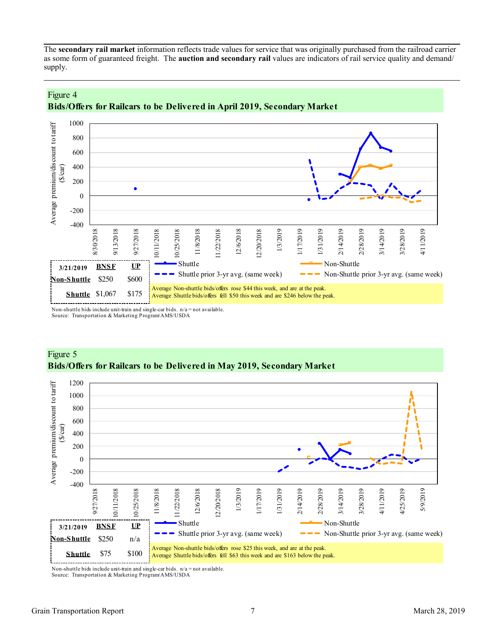<span id="page-6-0"></span>The **secondary rail market** information reflects trade values for service that was originally purchased from the railroad carrier as some form of guaranteed freight. The **auction and secondary rail** values are indicators of rail service quality and demand/ supply.





Non-shuttle bids include unit-train and single-car bids.  $n/a = not available$ . Source: Transportation & Marketing Program/AMS/USDA



# Figure 5 **Bids/Offers for Railcars to be Delivered in May 2019, Secondary Market**

Non-shuttle bids include unit-train and single-car bids. n/a = not available. Source: Transportation & Marketing Program/AMS/USDA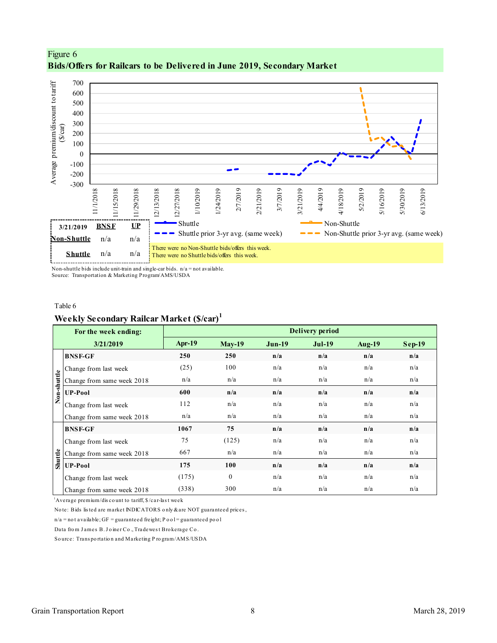



Non-shuttle bids include unit-train and single-car bids. n/a = not available. Source: Transportation & Marketing Program/AMS/USDA

#### Table 6

# **Weekly Secondary Railcar Market (\$/car)<sup>1</sup>**

|                                                        | For the week ending:                                                        |          |               |          | Delivery period |                                                       |          |  |  |  |  |  |  |  |  |  |
|--------------------------------------------------------|-----------------------------------------------------------------------------|----------|---------------|----------|-----------------|-------------------------------------------------------|----------|--|--|--|--|--|--|--|--|--|
|                                                        | 3/21/2019                                                                   | $Apr-19$ | <b>May-19</b> | $Jun-19$ | $Jul-19$        | <b>Aug-19</b>                                         | $Sep-19$ |  |  |  |  |  |  |  |  |  |
|                                                        | <b>BNSF-GF</b>                                                              | 250      | 250           | n/a      | n/a             | n/a                                                   | n/a      |  |  |  |  |  |  |  |  |  |
|                                                        | Change from last week                                                       | (25)     | 100           | n/a      | n/a             | n/a                                                   | n/a      |  |  |  |  |  |  |  |  |  |
| Non-shuttle                                            | Change from same week 2018                                                  | n/a      | n/a           | n/a      | n/a             | n/a                                                   | n/a      |  |  |  |  |  |  |  |  |  |
|                                                        | <b>UP-Pool</b>                                                              | 600      | n/a           | n/a      | n/a             | n/a                                                   | n/a      |  |  |  |  |  |  |  |  |  |
|                                                        | Change from last week                                                       | 112      | n/a           | n/a      | n/a             | n/a                                                   | n/a      |  |  |  |  |  |  |  |  |  |
|                                                        | Change from same week 2018                                                  | n/a      | n/a           | n/a      | n/a             | n/a                                                   | n/a      |  |  |  |  |  |  |  |  |  |
|                                                        | <b>BNSF-GF</b>                                                              | 1067     | 75            | n/a      | n/a             | n/a                                                   | n/a      |  |  |  |  |  |  |  |  |  |
|                                                        | Change from last week                                                       | 75       | (125)         | n/a      | n/a             | n/a                                                   | n/a      |  |  |  |  |  |  |  |  |  |
| Shuttle                                                | Change from same week 2018                                                  | 667      | n/a           | n/a      | n/a             | n/a                                                   | n/a      |  |  |  |  |  |  |  |  |  |
|                                                        | <b>UP-Pool</b>                                                              | 175      | 100           | n/a      | n/a             | n/a                                                   | n/a      |  |  |  |  |  |  |  |  |  |
|                                                        | Change from last week                                                       | (175)    | $\mathbf{0}$  | n/a      | n/a             | n/a                                                   | n/a      |  |  |  |  |  |  |  |  |  |
|                                                        | Change from same week 2018                                                  | (338)    | 300           | n/a      | n/a             | n/a                                                   | n/a      |  |  |  |  |  |  |  |  |  |
|                                                        | <sup>1</sup> Average premium/discount to tariff, \$/car-last week           |          |               |          |                 |                                                       |          |  |  |  |  |  |  |  |  |  |
|                                                        | Note: Bids listed are market INDICATORS only & are NOT guaranteed prices,   |          |               |          |                 |                                                       |          |  |  |  |  |  |  |  |  |  |
|                                                        | $n/a$ = not available; GF = guaranteed freight; P o o l = guaranteed po o l |          |               |          |                 |                                                       |          |  |  |  |  |  |  |  |  |  |
| Data from James B. Joiner Co., Tradewest Brokerage Co. |                                                                             |          |               |          |                 |                                                       |          |  |  |  |  |  |  |  |  |  |
|                                                        |                                                                             |          |               |          |                 | Source: Transportation and Marketing Program/AMS/USDA |          |  |  |  |  |  |  |  |  |  |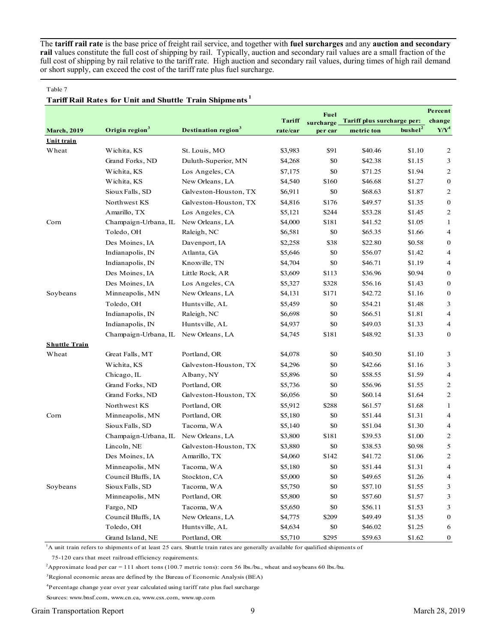The **tariff rail rate** is the base price of freight rail service, and together with **fuel surcharges** and any **auction and secondary rail** values constitute the full cost of shipping by rail. Typically, auction and secondary rail values are a small fraction of the full cost of shipping by rail relative to the tariff rate. High auction and secondary rail values, during times of high rail demand or short supply, can exceed the cost of the tariff rate plus fuel surcharge.

#### Table 7

#### **Tariff Rail Rates for Unit and Shuttle Train Shipments <sup>1</sup>**

|                      |                            |                                        |          | Fuel      |                            |                     | Percent          |
|----------------------|----------------------------|----------------------------------------|----------|-----------|----------------------------|---------------------|------------------|
|                      |                            |                                        | Tariff   | surcharge | Tariff plus surcharge per: |                     | change           |
| <b>March</b> , 2019  | Origin region <sup>3</sup> | <b>Destination region</b> <sup>3</sup> | rate/car | per car   | metric ton                 | bushel <sup>2</sup> | $Y/Y^4$          |
| Unit train           |                            |                                        |          |           |                            |                     |                  |
| Wheat                | Wichita, KS                | St. Louis, MO                          | \$3,983  | \$91      | \$40.46                    | \$1.10              | $\overline{c}$   |
|                      | Grand Forks, ND            | Duluth-Superior, MN                    | \$4,268  | \$0       | \$42.38                    | \$1.15              | 3                |
|                      | Wichita, KS                | Los Angeles, CA                        | \$7,175  | \$0       | \$71.25                    | \$1.94              | 2                |
|                      | Wichita, KS                | New Orleans, LA                        | \$4,540  | \$160     | \$46.68                    | \$1.27              | $\bf{0}$         |
|                      | Sioux Falls, SD            | Galveston-Houston, TX                  | \$6,911  | \$0       | \$68.63                    | \$1.87              | 2                |
|                      | Northwest KS               | Galveston-Houston, TX                  | \$4,816  | \$176     | \$49.57                    | \$1.35              | $\bf{0}$         |
|                      | Amarillo, TX               | Los Angeles, CA                        | \$5,121  | \$244     | \$53.28                    | \$1.45              | 2                |
| Corn                 | Champaign-Urbana, IL       | New Orleans, LA                        | \$4,000  | \$181     | \$41.52                    | \$1.05              | $\mathbf{1}$     |
|                      | Toledo, OH                 | Raleigh, NC                            | \$6,581  | \$0       | \$65.35                    | \$1.66              | $\overline{4}$   |
|                      | Des Moines, IA             | Davenport, IA                          | \$2,258  | \$38      | \$22.80                    | \$0.58              | $\boldsymbol{0}$ |
|                      | Indianapolis, IN           | Atlanta, GA                            | \$5,646  | \$0       | \$56.07                    | \$1.42              | 4                |
|                      | Indianapolis, IN           | Knoxville, TN                          | \$4,704  | \$0       | \$46.71                    | \$1.19              | 4                |
|                      | Des Moines, IA             | Little Rock, AR                        | \$3,609  | \$113     | \$36.96                    | \$0.94              | $\boldsymbol{0}$ |
|                      | Des Moines, IA             | Los Angeles, CA                        | \$5,327  | \$328     | \$56.16                    | \$1.43              | 0                |
| Soybeans             | Minneapolis, MN            | New Orleans, LA                        | \$4,131  | \$171     | \$42.72                    | \$1.16              | 0                |
|                      | Toledo, OH                 | Huntsville, AL                         | \$5,459  | \$0       | \$54.21                    | \$1.48              | 3                |
|                      | Indianapolis, IN           | Raleigh, NC                            | \$6,698  | \$0       | \$66.51                    | \$1.81              | $\overline{4}$   |
|                      | Indianapolis, IN           | Huntsville, AL                         | \$4,937  | \$0       | \$49.03                    | \$1.33              | 4                |
|                      | Champaign-Urbana, IL       | New Orleans, LA                        | \$4,745  | \$181     | \$48.92                    | \$1.33              | $\mathbf{0}$     |
| <b>Shuttle Train</b> |                            |                                        |          |           |                            |                     |                  |
| Wheat                | Great Falls, MT            | Portland, OR                           | \$4,078  | \$0       | \$40.50                    | \$1.10              | 3                |
|                      | Wichita, KS                | Galveston-Houston, TX                  | \$4,296  | \$0       | \$42.66                    | \$1.16              | 3                |
|                      | Chicago, IL                | Albany, NY                             | \$5,896  | \$0       | \$58.55                    | \$1.59              | $\overline{4}$   |
|                      | Grand Forks, ND            | Portland, OR                           | \$5,736  | \$0       | \$56.96                    | \$1.55              | 2                |
|                      | Grand Forks, ND            | Galveston-Houston, TX                  | \$6,056  | \$0       | \$60.14                    | \$1.64              | 2                |
|                      | Northwest KS               | Portland, OR                           | \$5,912  | \$288     | \$61.57                    | \$1.68              | $\mathbf{1}$     |
| Corn                 | Minneapolis, MN            | Portland, OR                           | \$5,180  | \$0       | \$51.44                    | \$1.31              | 4                |
|                      | Sioux Falls, SD            | Tacoma, WA                             | \$5,140  | \$0       | \$51.04                    | \$1.30              | $\overline{4}$   |
|                      | Champaign-Urbana, IL       | New Orleans, LA                        | \$3,800  | \$181     | \$39.53                    | \$1.00              | $\overline{c}$   |
|                      | Lincoln, NE                | Galveston-Houston, TX                  | \$3,880  | \$0       | \$38.53                    | \$0.98              | 5                |
|                      | Des Moines, IA             | Amarillo, TX                           | \$4,060  | \$142     | \$41.72                    | \$1.06              | $\mathbf{2}$     |
|                      | Minneapolis, MN            | Tacoma, WA                             | \$5,180  | \$0       | \$51.44                    | \$1.31              | 4                |
|                      | Council Bluffs, IA         | Stockton, CA                           | \$5,000  | \$0       | \$49.65                    | \$1.26              | 4                |
| Soybeans             | Sioux Falls, SD            | Tacoma, WA                             | \$5,750  | \$0       | \$57.10                    | \$1.55              | 3                |
|                      | Minneapolis, MN            | Portland, OR                           | \$5,800  | \$0       | \$57.60                    | \$1.57              | 3                |
|                      | Fargo, ND                  | Tacoma, WA                             | \$5,650  | \$0       | \$56.11                    | \$1.53              | 3                |
|                      | Council Bluffs, IA         | New Orleans, LA                        | \$4,775  | \$209     | \$49.49                    | \$1.35              | $\bf{0}$         |
|                      | Toledo, OH                 | Huntsville, AL                         | \$4,634  | \$0       | \$46.02                    | \$1.25              | 6                |
|                      | Grand Island, NE           | Portland, OR                           | \$5,710  | \$295     | \$59.63                    | \$1.62              | $\mathbf{0}$     |

<sup>1</sup>A unit train refers to shipments of at least 25 cars. Shuttle train rates are generally available for qualified shipments of

75-120 cars that meet railroad efficiency requirements.

<sup>2</sup>Approximate load per car = 111 short tons (100.7 metric tons): corn 56 lbs./bu., wheat and soybeans 60 lbs./bu.

<sup>3</sup>Regional economic areas are defined by the Bureau of Economic Analysis (BEA)

<sup>4</sup>Percentage change year over year calculated using tariff rate plus fuel surcharge

Sources: www.bnsf.com, www.cn.ca, www.csx.com, www.up.com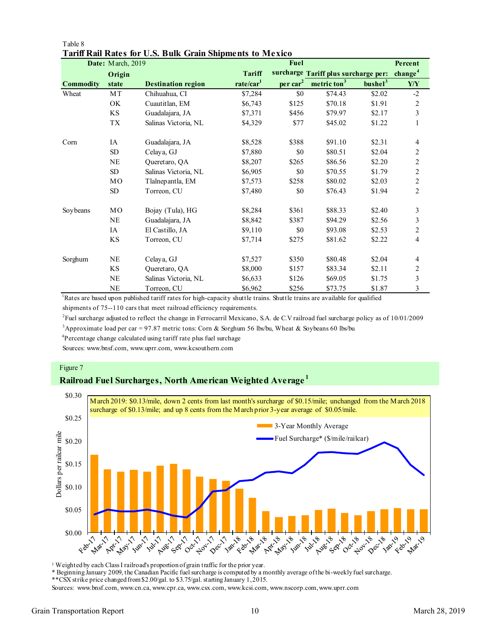|           | Date: March, 2019 |                           |                       | Fuel           |                                      |                     | Percent                 |
|-----------|-------------------|---------------------------|-----------------------|----------------|--------------------------------------|---------------------|-------------------------|
|           | Origin            |                           | <b>Tariff</b>         |                | surcharge Tariff plus surcharge per: |                     | change <sup>4</sup>     |
| Commodity | state             | <b>Destination region</b> | rate/car <sup>1</sup> | $per \, car^2$ | metric ton <sup>3</sup>              | bushel <sup>3</sup> | ${\bf Y\!/\!Y}$         |
| Wheat     | MT                | Chihuahua, CI             | \$7,284               | \$0            | \$74.43                              | \$2.02              | $-2$                    |
|           | OK.               | Cuautitlan, EM            | \$6,743               | \$125          | \$70.18                              | \$1.91              | $\mathfrak{2}$          |
|           | KS                | Guadalajara, JA           | \$7,371               | \$456          | \$79.97                              | \$2.17              | 3                       |
|           | TX                | Salinas Victoria, NL      | \$4,329               | \$77           | \$45.02                              | \$1.22              | $\mathbf{1}$            |
| Corn      | IA                | Guadalajara, JA           | \$8,528               | \$388          | \$91.10                              | \$2.31              | 4                       |
|           | ${\rm SD}$        | Celaya, GJ                | \$7,880               | \$0            | \$80.51                              | \$2.04              | $\overline{c}$          |
|           | <b>NE</b>         | Queretaro, QA             | \$8,207               | \$265          | \$86.56                              | \$2.20              | $\overline{c}$          |
|           | ${\rm SD}$        | Salinas Victoria, NL      | \$6,905               | \$0            | \$70.55                              | \$1.79              | $\overline{c}$          |
|           | MO                | Tlalnepantla, EM          | \$7,573               | \$258          | \$80.02                              | \$2.03              | $\overline{c}$          |
|           | SD                | Torreon, CU               | \$7,480               | \$0            | \$76.43                              | \$1.94              | $\overline{2}$          |
| Soybeans  | MO                | Bojay (Tula), HG          | \$8,284               | \$361          | \$88.33                              | \$2.40              | 3                       |
|           | <b>NE</b>         | Guadalajara, JA           | \$8,842               | \$387          | \$94.29                              | \$2.56              | $\mathfrak{Z}$          |
|           | IA                | El Castillo, JA           | \$9,110               | \$0            | \$93.08                              | \$2.53              | $\overline{\mathbf{c}}$ |
|           | KS                | Torreon, CU               | \$7,714               | \$275          | \$81.62                              | \$2.22              | 4                       |
| Sorghum   | <b>NE</b>         | Celaya, GJ                | \$7,527               | \$350          | \$80.48                              | \$2.04              | 4                       |
|           | KS                | Queretaro, QA             | \$8,000               | \$157          | \$83.34                              | \$2.11              | $\overline{c}$          |
|           | <b>NE</b>         | Salinas Victoria, NL      | \$6,633               | \$126          | \$69.05                              | \$1.75              | 3                       |
|           | <b>NE</b>         | Torreon, CU               | \$6,962               | \$256          | \$73.75                              | \$1.87              | 3                       |

#### Table 8 **Tariff Rail Rates for U.S. Bulk Grain Shipments to Mexico**

<sup>1</sup>Rates are based upon published tariff rates for high-capacity shuttle trains. Shuttle trains are available for qualified shipments of 75--110 cars that meet railroad efficiency requirements.

2 Fuel surcharge adjusted to reflect the change in Ferrocarril Mexicano, S.A. de C.V railroad fuel surcharge policy as of 10/01/2009

<sup>3</sup>Approximate load per car = 97.87 metric tons: Corn & Sorghum 56 lbs/bu, Wheat & Soybeans 60 lbs/bu

<sup>4</sup>Percentage change calculated using tariff rate plus fuel surchage

Sources: www.bnsf.com, www.uprr.com, www.kcsouthern.com

#### Figure 7

# **Railroad Fuel Surcharges, North American Weighted Average <sup>1</sup>**



<sup>1</sup> Weighted by each Class I railroad's proportion of grain traffic for the prior year.

\* Beginning January 2009, the Canadian Pacific fuel surcharge is computed by a monthly average of the bi-weekly fuel surcharge.

\*\*CSX strike price changed from \$2.00/gal. to \$3.75/gal. starting January 1, 2015.

Sources: www.bnsf.com, www.cn.ca, www.cpr.ca, www.csx.com, www.kcsi.com, www.nscorp.com, www.uprr.com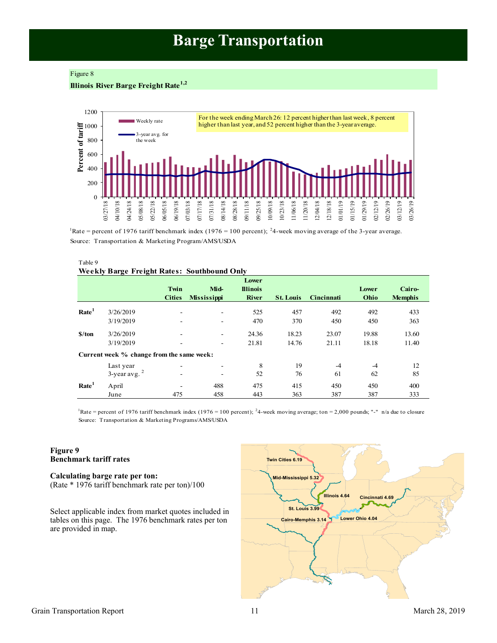# **Barge Transportation**

#### <span id="page-10-0"></span>Figure 8

# **Illinois River Barge Freight Rate1,2**



<sup>1</sup>Rate = percent of 1976 tariff benchmark index (1976 = 100 percent); <sup>2</sup>4-week moving average of the 3-year average. Source: Transportation & Marketing Program/AMS/USDA

#### Table 9 **Weekly Barge Freight Rates: Southbound Only**

|                   |                                           | Twin<br><b>Cities</b> | Mid-<br><b>Mississippi</b> | Lower<br><b>Illinois</b><br><b>River</b> | <b>St. Louis</b> | Cincinnati | Lower<br>Ohio | Cairo-<br><b>Memphis</b> |
|-------------------|-------------------------------------------|-----------------------|----------------------------|------------------------------------------|------------------|------------|---------------|--------------------------|
| Rate <sup>1</sup> | 3/26/2019                                 |                       | $\overline{\phantom{a}}$   | 525                                      | 457              | 492        | 492           | 433                      |
|                   | 3/19/2019                                 |                       |                            | 470                                      | 370              | 450        | 450           | 363                      |
| \$/ton            | 3/26/2019                                 |                       | $\overline{\phantom{a}}$   | 24.36                                    | 18.23            | 23.07      | 19.88         | 13.60                    |
|                   | 3/19/2019                                 |                       | ۰                          | 21.81                                    | 14.76            | 21.11      | 18.18         | 11.40                    |
|                   | Current week % change from the same week: |                       |                            |                                          |                  |            |               |                          |
|                   | Last year                                 |                       |                            | 8                                        | 19               | $-4$       | $-4$          | 12                       |
|                   | $3$ -year avg. $2$                        |                       | $\overline{\phantom{a}}$   | 52                                       | 76               | 61         | 62            | 85                       |
| Rate <sup>1</sup> | April                                     |                       | 488                        | 475                                      | 415              | 450        | 450           | 400                      |
|                   | June                                      | 475                   | 458                        | 443                                      | 363              | 387        | 387           | 333                      |

Source: Transportation & Marketing Programs/AMS/USDA <sup>1</sup>Rate = percent of 1976 tariff benchmark index (1976 = 100 percent); <sup>2</sup>4-week moving average; ton = 2,000 pounds; "-" n/a due to closure

#### **Figure 9 Benchmark tariff rates**

**Calculating barge rate per ton:** (Rate \* 1976 tariff benchmark rate per ton)/100

Select applicable index from market quotes included in tables on this page. The 1976 benchmark rates per ton are provided in map.

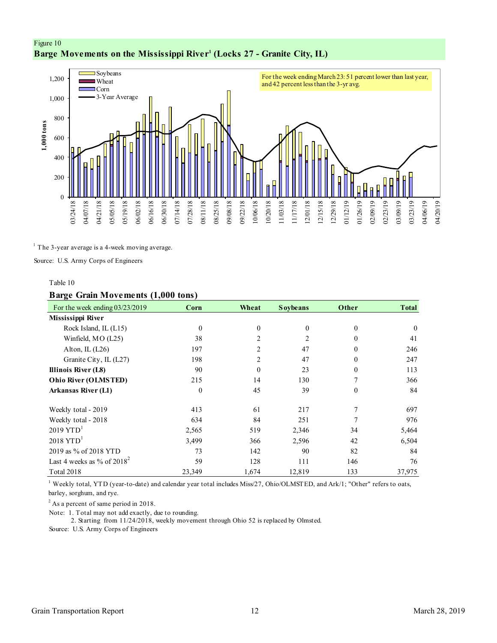# <span id="page-11-0"></span>Figure 10 **Barge Movements on the Mississippi River<sup>1</sup> (Locks 27 - Granite City, IL)**



 $<sup>1</sup>$  The 3-year average is a 4-week moving average.</sup>

Source: U.S. Army Corps of Engineers

#### Table 10

#### **Barge Grain Movements (1,000 tons)**

| For the week ending 03/23/2019 | Corn         | Wheat          | <b>Soybeans</b> | Other    | <b>Total</b> |
|--------------------------------|--------------|----------------|-----------------|----------|--------------|
| Mississippi River              |              |                |                 |          |              |
| Rock Island, IL (L15)          | $\mathbf{0}$ | $\mathbf{0}$   | $\mathbf{0}$    | $\theta$ | $\theta$     |
| Winfield, MO (L25)             | 38           | $\overline{c}$ | 2               | $\Omega$ | 41           |
| Alton, IL $(L26)$              | 197          | 2              | 47              | 0        | 246          |
| Granite City, IL (L27)         | 198          | $\overline{2}$ | 47              | $\Omega$ | 247          |
| Illinois River (L8)            | 90           | $\mathbf{0}$   | 23              | $\theta$ | 113          |
| Ohio River (OLMSTED)           | 215          | 14             | 130             | 7        | 366          |
| <b>Arkansas River (L1)</b>     | $\mathbf{0}$ | 45             | 39              | $\theta$ | 84           |
| Weekly total - 2019            | 413          | 61             | 217             | 7        | 697          |
| Weekly total - 2018            | 634          | 84             | 251             |          | 976          |
| $2019$ YTD <sup>1</sup>        | 2,565        | 519            | 2,346           | 34       | 5,464        |
| $2018$ YTD <sup>1</sup>        | 3,499        | 366            | 2,596           | 42       | 6,504        |
| 2019 as % of 2018 YTD          | 73           | 142            | 90              | 82       | 84           |
| Last 4 weeks as % of $2018^2$  | 59           | 128            | 111             | 146      | 76           |
| Total 2018                     | 23,349       | 1,674          | 12,819          | 133      | 37,975       |

<sup>1</sup> Weekly total, YTD (year-to-date) and calendar year total includes Miss/27, Ohio/OLMSTED, and Ark/1; "Other" refers to oats, barley, sorghum, and rye.

 $2$  As a percent of same period in 2018.

Note: 1. Total may not add exactly, due to rounding.

2. Starting from 11/24/2018, weekly movement through Ohio 52 is replaced by Olmsted.

Source: U.S. Army Corps of Engineers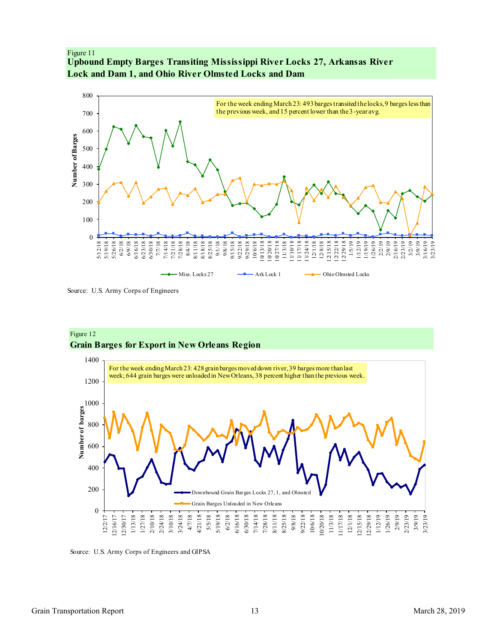## <span id="page-12-0"></span>Figure 11 **Upbound Empty Barges Transiting Mississippi River Locks 27, Arkansas River Lock and Dam 1, and Ohio River Olmsted Locks and Dam**



Source: U.S. Army Corps of Engineers





Source: U.S. Army Corps of Engineers and GIPSA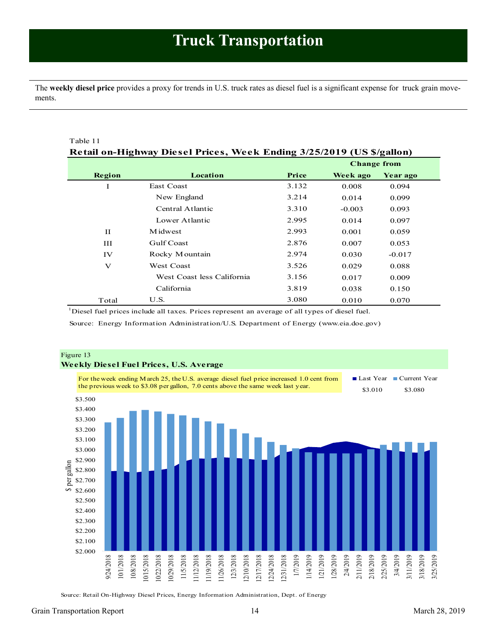<span id="page-13-1"></span><span id="page-13-0"></span>The **weekly diesel price** provides a proxy for trends in U.S. truck rates as diesel fuel is a significant expense for truck grain movements.

| Table 11     |                                                                       |                    |          |          |  |  |
|--------------|-----------------------------------------------------------------------|--------------------|----------|----------|--|--|
|              | Retail on-Highway Diesel Prices, Week Ending 3/25/2019 (US \$/gallon) |                    |          |          |  |  |
|              |                                                                       | <b>Change from</b> |          |          |  |  |
| Region       | Location                                                              | Price              | Week ago | Year ago |  |  |
| Ι            | East Coast                                                            | 3.132              | 0.008    | 0.094    |  |  |
|              | New England                                                           | 3.214              | 0.014    | 0.099    |  |  |
|              | Central Atlantic                                                      | 3.310              | $-0.003$ | 0.093    |  |  |
|              | Lower Atlantic                                                        | 2.995              | 0.014    | 0.097    |  |  |
| $_{\rm II}$  | M idwest                                                              | 2.993              | 0.001    | 0.059    |  |  |
| Ш            | Gulf Coast                                                            | 2.876              | 0.007    | 0.053    |  |  |
| IV           | Rocky Mountain                                                        | 2.974              | 0.030    | $-0.017$ |  |  |
| $\mathbf{V}$ | <b>West Coast</b>                                                     | 3.526              | 0.029    | 0.088    |  |  |
|              | West Coast less California                                            | 3.156              | 0.017    | 0.009    |  |  |
|              | California                                                            | 3.819              | 0.038    | 0.150    |  |  |
| Total        | U.S.                                                                  | 3.080              | 0.010    | 0.070    |  |  |

<sup>1</sup>Diesel fuel prices include all taxes. Prices represent an average of all types of diesel fuel.

Source: Energy Information Administration/U.S. Department of Energy (www.eia.doe.gov)



Source: Retail On-Highway Diesel Prices, Energy Information Administration, Dept. of Energy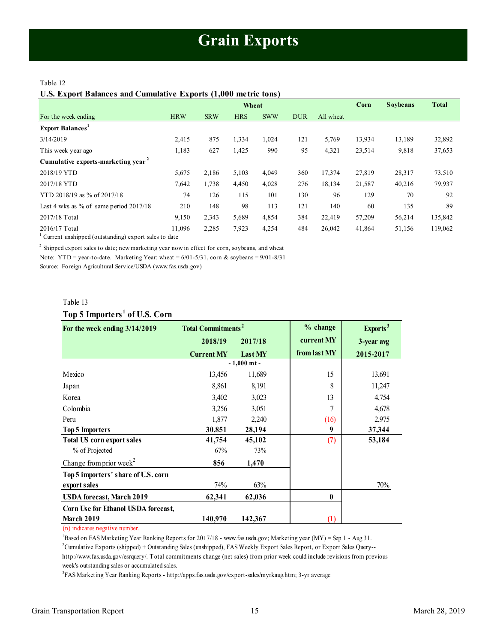#### <span id="page-14-1"></span><span id="page-14-0"></span>Table 12

**U.S. Export Balances and Cumulative Exports (1,000 metric tons)**

|                                                |            |            | Wheat      |            |            |           | Corn   | <b>Soybeans</b> | <b>Total</b> |
|------------------------------------------------|------------|------------|------------|------------|------------|-----------|--------|-----------------|--------------|
| For the week ending                            | <b>HRW</b> | <b>SRW</b> | <b>HRS</b> | <b>SWW</b> | <b>DUR</b> | All wheat |        |                 |              |
| <b>Export Balances</b>                         |            |            |            |            |            |           |        |                 |              |
| 3/14/2019                                      | 2,415      | 875        | 1,334      | 1,024      | 121        | 5,769     | 13,934 | 13,189          | 32,892       |
| This week year ago                             | 1,183      | 627        | 1,425      | 990        | 95         | 4,321     | 23,514 | 9,818           | 37,653       |
| Cumulative exports-marketing year <sup>2</sup> |            |            |            |            |            |           |        |                 |              |
| 2018/19 YTD                                    | 5,675      | 2,186      | 5,103      | 4,049      | 360        | 17,374    | 27,819 | 28,317          | 73,510       |
| 2017/18 YTD                                    | 7,642      | 1,738      | 4,450      | 4,028      | 276        | 18,134    | 21,587 | 40,216          | 79,937       |
| YTD 2018/19 as % of 2017/18                    | 74         | 126        | 115        | 101        | 130        | 96        | 129    | 70              | 92           |
| Last 4 wks as % of same period $2017/18$       | 210        | 148        | 98         | 113        | 121        | 140       | 60     | 135             | 89           |
| 2017/18 Total                                  | 9,150      | 2,343      | 5,689      | 4,854      | 384        | 22,419    | 57,209 | 56,214          | 135,842      |
| 2016/17 Total                                  | 11.096     | 2,285      | 7,923      | 4,254      | 484        | 26,042    | 41,864 | 51,156          | 119,062      |

<sup>1</sup> Current unshipped (outstanding) export sales to date

 $2$  Shipped export sales to date; new marketing year now in effect for corn, soybeans, and wheat Note: YTD = year-to-date. Marketing Year: wheat =  $6/01-5/31$ , corn & soybeans =  $9/01-8/31$ 

Source: Foreign Agricultural Service/USDA (www.fas.usda.gov)

#### Table 13

#### **Top 5 Importers <sup>1</sup> of U.S. Corn**

| Table 13                                  |                                      |               |              |                      |
|-------------------------------------------|--------------------------------------|---------------|--------------|----------------------|
| Top 5 Importers <sup>1</sup> of U.S. Corn |                                      |               |              |                      |
| For the week ending 3/14/2019             | <b>Total Commitments<sup>2</sup></b> |               | % change     | Exports <sup>3</sup> |
|                                           | 2018/19                              | 2017/18       | current MY   | 3-year avg           |
|                                           | <b>Current MY</b>                    | Last MY       | from last MY | 2015-2017            |
|                                           |                                      | $-1,000$ mt - |              |                      |
| Mexico                                    | 13,456                               | 11,689        | 15           | 13,691               |
| Japan                                     | 8,861                                | 8,191         | 8            | 11,247               |
| Korea                                     | 3,402                                | 3,023         | 13           | 4,754                |
| Colombia                                  | 3,256                                | 3,051         | 7            | 4,678                |
| Peru                                      | 1,877                                | 2,240         | (16)         | 2,975                |
| <b>Top 5 Importers</b>                    | 30,851                               | 28,194        | 9            | 37,344               |
| <b>Total US corn export sales</b>         | 41,754                               | 45,102        | (7)          | 53,184               |
| % of Projected                            | 67%                                  | 73%           |              |                      |
| Change from prior week <sup>2</sup>       | 856                                  | 1,470         |              |                      |
| Top 5 importers' share of U.S. corn       |                                      |               |              |                      |
| export sales                              | 74%                                  | 63%           |              | 70%                  |
| <b>USDA</b> forecast, March 2019          | 62,341                               | 62,036        | $\mathbf{0}$ |                      |
| Corn Use for Ethanol USDA forecast,       |                                      |               |              |                      |
| <b>March 2019</b>                         | 140,970                              | 142,367       | (1)          |                      |

(n) indicates negative number.

<sup>1</sup>Based on FAS Marketing Year Ranking Reports for 2017/18 - www.fas.usda.gov; Marketing year (MY) = Sep 1 - Aug 31.

<sup>2</sup>Cumulative Exports (shipped) + Outstanding Sales (unshipped), FAS Weekly Export Sales Report, or Export Sales Query--

http://www.fas.usda.gov/esrquery/. Total commitments change (net sales) from prior week could include revisions from previous week's outstanding sales or accumulated sales.

3 FAS Marketing Year Ranking Reports - http://apps.fas.usda.gov/export-sales/myrkaug.htm; 3-yr average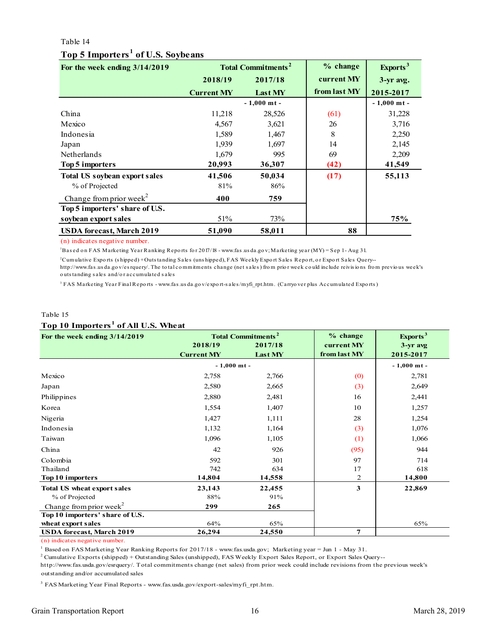#### Table 14

# **Top 5 Importers <sup>1</sup> of U.S. Soybeans**

<span id="page-15-0"></span>

| Top 5 Importers <sup>1</sup> of U.S. Soybeans |                   |                                      |              |                      |
|-----------------------------------------------|-------------------|--------------------------------------|--------------|----------------------|
| For the week ending 3/14/2019                 |                   | <b>Total Commitments<sup>2</sup></b> | % change     | Exports <sup>3</sup> |
|                                               | 2018/19           | 2017/18                              | current MY   | 3-yr avg.            |
|                                               | <b>Current MY</b> | Last MY                              | from last MY | 2015-2017            |
|                                               |                   | $-1,000$ mt -                        |              | $-1,000$ mt -        |
| China                                         | 11,218            | 28,526                               | (61)         | 31,228               |
| Mexico                                        | 4,567             | 3,621                                | 26           | 3,716                |
| Indonesia                                     | 1,589             | 1,467                                | 8            | 2,250                |
| Japan                                         | 1,939             | 1,697                                | 14           | 2,145                |
| Netherlands                                   | 1,679             | 995                                  | 69           | 2,209                |
| Top 5 importers                               | 20,993            | 36,307                               | (42)         | 41,549               |
| <b>Total US soybean export sales</b>          | 41,506            | 50,034                               | (17)         | 55,113               |
| % of Projected                                | 81%               | 86%                                  |              |                      |
| Change from prior week <sup>2</sup>           | 400               | 759                                  |              |                      |
| Top 5 importers' share of U.S.                |                   |                                      |              |                      |
| soybean export sales                          | 51%               | 73%                                  |              | 75%                  |
| <b>USDA</b> forecast, March 2019              | 51,090            | 58,011                               | 88           |                      |
| (n) indicates negative number.                |                   |                                      |              |                      |

(n) indicates negative number.

<sup>1</sup>Bas ed o n FAS Marketing Year Ranking Repo rts fo r 2017/18 - www.fas .us da.go v; Marketing year (MY) = Sep 1 - Aug 31.

Cumulative Exports (shipped)+Outstanding Sales (unshipped), FAS Weekly Export Sales Report, or Export Sales Query-<br>http://www.fas.usda.gov/esrquery/. The total commitments change (net sales) from prior week could include r (n) indicates negative number.<br><sup>1</sup>Based on FAS Marketing Year Ranking Reports for 2017/18 - www.fas.usda.gov; Marketing year (MY) = Sep 1 - Aug 31.<br><sup>2</sup>Cumulative Exports (shipped) + Outstanding Sales (uns hipped), FAS Week http://www.fas.us da.go v/es rquery/. The to tal commitments change (net sales) from prior week could include reivisions from previous week's outs tanding sales and/or accumulated sales <sup>1</sup> Based on FAS Marketing Year Ranking Re<sup>3</sup><br>Cumulative Exports (shipped) + Outs tanding<br>http://www.fas.usda.gov/esrquery/. The total<br>outs tanding sales and/or accumulated sales

3

#### Table 15 **Top 10 Importers <sup>1</sup> of All U.S. Wheat**

| Table 15                                        |                   |                                      |              |                      |
|-------------------------------------------------|-------------------|--------------------------------------|--------------|----------------------|
| Top 10 Importers <sup>1</sup> of All U.S. Wheat |                   |                                      |              |                      |
| For the week ending 3/14/2019                   |                   | <b>Total Commitments<sup>2</sup></b> | % change     | Exports <sup>3</sup> |
|                                                 | 2018/19           | 2017/18                              | current MY   | $3-yr$ avg           |
|                                                 | <b>Current MY</b> | Last MY                              | from last MY | 2015-2017            |
|                                                 | $-1,000$ mt -     |                                      |              | $-1,000$ mt -        |
| Mexico                                          | 2,758             | 2,766                                | (0)          | 2,781                |
| Japan                                           | 2,580             | 2,665                                | (3)          | 2,649                |
| Philippines                                     | 2,880             | 2,481                                | 16           | 2,441                |
| Korea                                           | 1,554             | 1,407                                | 10           | 1,257                |
| Nigeria                                         | 1,427             | 1,111                                | 28           | 1,254                |
| Indonesia                                       | 1,132             | 1,164                                | (3)          | 1,076                |
| Taiwan                                          | 1,096             | 1,105                                | (1)          | 1,066                |
| China                                           | 42                | 926                                  | (95)         | 944                  |
| Colombia                                        | 592               | 301                                  | 97           | 714                  |
| Thailand                                        | 742               | 634                                  | 17           | 618                  |
| Top 10 importers                                | 14,804            | 14,558                               | 2            | 14,800               |
| <b>Total US wheat export sales</b>              | 23,143            | 22,455                               | 3            | 22,869               |
| % of Projected                                  | 88%               | 91%                                  |              |                      |
| Change from prior week <sup>2</sup>             | 299               | 265                                  |              |                      |
| Top 10 importers' share of U.S.                 |                   |                                      |              |                      |
| wheat export sales                              | 64%               | 65%                                  |              | 65%                  |
| <b>USDA</b> forecast, March 2019                | 26,294            | 24,550                               | 7            |                      |

(n) indicates negative number.

<sup>1</sup> Based on FAS Marketing Year Ranking Reports for 2017/18 - www.fas.usda.gov; Marketing year = Jun 1 - May 31.

2 Cumulative Exports (shipped) + Outstanding Sales (unshipped), FAS Weekly Export Sales Report, or Export Sales Query--

outstanding and/or accumulated sales http://www.fas.usda.gov/esrquery/. Total commitments change (net sales) from prior week could include revisions from the previous week's

<sup>3</sup> FAS Marketing Year Final Reports - www.fas.usda.gov/export-sales/myfi\_rpt.htm.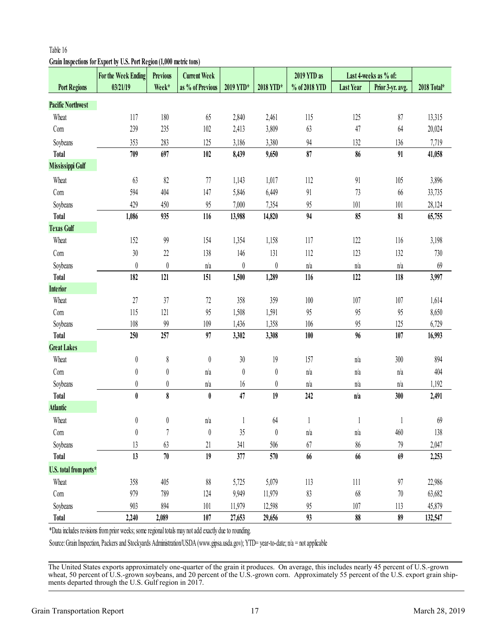# <span id="page-16-0"></span>**Grain Inspections for Export by U.S. Port Region (1,000 metric tons)**

|                          | <b>For the Week Ending</b>                                                                                                         | <b>Previous</b>       | <b>Current Week</b>     |                  |                  | 2019 YTD as   |                  | Last 4-weeks as % of: |             |
|--------------------------|------------------------------------------------------------------------------------------------------------------------------------|-----------------------|-------------------------|------------------|------------------|---------------|------------------|-----------------------|-------------|
| <b>Port Regions</b>      | 03/21/19                                                                                                                           | Week*                 | as % of Previous        | 2019 YTD*        | 2018 YTD*        | % of 2018 YTD | <b>Last Year</b> | Prior 3-yr. avg.      | 2018 Total* |
| <b>Pacific Northwest</b> |                                                                                                                                    |                       |                         |                  |                  |               |                  |                       |             |
| Wheat                    | 117                                                                                                                                | 180                   | 65                      | 2,840            | 2,461            | 115           | 125              | 87                    | 13,315      |
| Com                      | 239                                                                                                                                | 235                   | 102                     | 2,413            | 3,809            | 63            | 47               | 64                    | 20,024      |
| Soybeans                 | 353                                                                                                                                | 283                   | 125                     | 3,186            | 3,380            | 94            | 132              | 136                   | 7,719       |
| <b>Total</b>             | 709                                                                                                                                | 697                   | 102                     | 8,439            | 9,650            | 87            | 86               | 91                    | 41,058      |
| <b>Mississippi Gulf</b>  |                                                                                                                                    |                       |                         |                  |                  |               |                  |                       |             |
| Wheat                    | 63                                                                                                                                 | 82                    | 77                      | 1,143            | 1,017            | 112           | 91               | 105                   | 3,896       |
| Com                      | 594                                                                                                                                | 404                   | 147                     | 5,846            | 6,449            | 91            | 73               | 66                    | 33,735      |
| Soybeans                 | 429                                                                                                                                | 450                   | 95                      | 7,000            | 7,354            | 95            | 101              | 101                   | 28,124      |
| <b>Total</b>             | 1,086                                                                                                                              | 935                   | 116                     | 13,988           | 14,820           | 94            | 85               | 81                    | 65,755      |
| <b>Texas Gulf</b>        |                                                                                                                                    |                       |                         |                  |                  |               |                  |                       |             |
| Wheat                    | 152                                                                                                                                | 99                    | 154                     | 1,354            | 1,158            | 117           | 122              | 116                   | 3,198       |
| Com                      | 30                                                                                                                                 | $22\,$                | 138                     | 146              | 131              | 112           | 123              | 132                   | 730         |
| Soybeans                 | $\boldsymbol{0}$                                                                                                                   | $\boldsymbol{0}$      | n/a                     | $\boldsymbol{0}$ | $\boldsymbol{0}$ | n/a           | n/a              | n/a                   | 69          |
| <b>Total</b>             | 182                                                                                                                                | 121                   | 151                     | 1,500            | 1,289            | 116           | 122              | 118                   | 3,997       |
| <b>Interior</b>          |                                                                                                                                    |                       |                         |                  |                  |               |                  |                       |             |
| Wheat                    | 27                                                                                                                                 | 37                    | $72\,$                  | 358              | 359              | 100           | 107              | 107                   | 1,614       |
| Com                      | 115                                                                                                                                | 121                   | 95                      | 1,508            | 1,591            | 95            | 95               | 95                    | 8,650       |
| Soybeans                 | 108                                                                                                                                | 99                    | 109                     | 1,436            | 1,358            | 106           | 95               | 125                   | 6,729       |
| <b>Total</b>             | 250                                                                                                                                | 257                   | 97                      | 3,302            | 3,308            | 100           | 96               | 107                   | 16,993      |
| <b>Great Lakes</b>       |                                                                                                                                    |                       |                         |                  |                  |               |                  |                       |             |
| Wheat                    | $\boldsymbol{0}$                                                                                                                   | $\,$                  | $\boldsymbol{0}$        | $30\,$           | 19               | 157           | n/a              | 300                   | 894         |
| Com                      | $\boldsymbol{0}$                                                                                                                   | $\boldsymbol{0}$      | n/a                     | $\boldsymbol{0}$ | $\boldsymbol{0}$ | n/a           | n/a              | n/a                   | 404         |
| Soybeans                 | $\boldsymbol{0}$                                                                                                                   | $\boldsymbol{0}$      | $\mathbf{n}/\mathbf{a}$ | 16               | $\boldsymbol{0}$ | n/a           | n/a              | n/a                   | 1,192       |
| <b>Total</b>             | $\pmb{0}$                                                                                                                          | $\boldsymbol{\delta}$ | $\pmb{0}$               | 47               | 19               | 242           | n/a              | 300                   | 2,491       |
| <b>Atlantic</b>          |                                                                                                                                    |                       |                         |                  |                  |               |                  |                       |             |
| Wheat                    | 0                                                                                                                                  | 0                     | n/a                     |                  | 64               | 1             | 1                |                       | 69          |
| Com                      | 0                                                                                                                                  | 7                     | 0                       | 35               | $\pmb{0}$        | n/a           | n/a              | 460                   | 138         |
| Soybeans                 | 13                                                                                                                                 | 63                    | 21                      | 341              | 506              | 67            | 86               | 79                    | 2,047       |
| <b>Total</b>             | 13                                                                                                                                 | $70\,$                | 19                      | 377              | 570              | 66            | 66               | 69                    | 2,253       |
| U.S. total from ports*   |                                                                                                                                    |                       |                         |                  |                  |               |                  |                       |             |
| Wheat                    | 358                                                                                                                                | 405                   | 88                      | 5,725            | 5,079            | 113           | 111              | 97                    | 22,986      |
| Com                      | 979                                                                                                                                | 789                   | 124                     | 9,949            | 11,979           | 83            | 68               | 70                    | 63,682      |
| Soybeans                 | 903                                                                                                                                | 894                   | 101                     | 11,979           | 12,598           | 95            | 107              | 113                   | 45,879      |
| <b>Total</b>             | 2,240                                                                                                                              | 2,089                 | 107                     | 27,653           | 29,656           | 93            | 88               | 89                    | 132,547     |
|                          | *Data includes revisions from prior weeks; some regional totals may not add exactly due to rounding.                               |                       |                         |                  |                  |               |                  |                       |             |
|                          | Source: Grain Inspection, Packers and Stockyards Administration/USDA (www.gipsa.usda.gov); YTD= year-to-date; n/a = not applicable |                       |                         |                  |                  |               |                  |                       |             |

The United States exports approximately one-quarter of the grain it produces. On average, this includes nearly 45 percent of U.S.-grown wheat, 50 percent of U.S.-grown soybeans, and 20 percent of the U.S.-grown corn. Approximately 55 percent of the U.S. export grain ship-<br>ments departed through the U.S. Gulf region in 2017.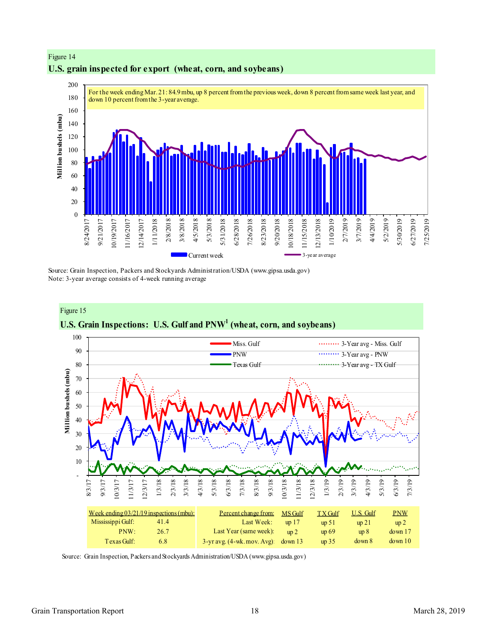

# **U.S. grain inspected for export (wheat, corn, and soybeans)**

Figure 14

Source: Grain Inspection, Packers and Stockyards Administration/USDA (www.gipsa.usda.gov) Note: 3-year average consists of 4-week running average



Source: Grain Inspection, Packers and Stockyards Administration/USDA (www.gipsa.usda.gov)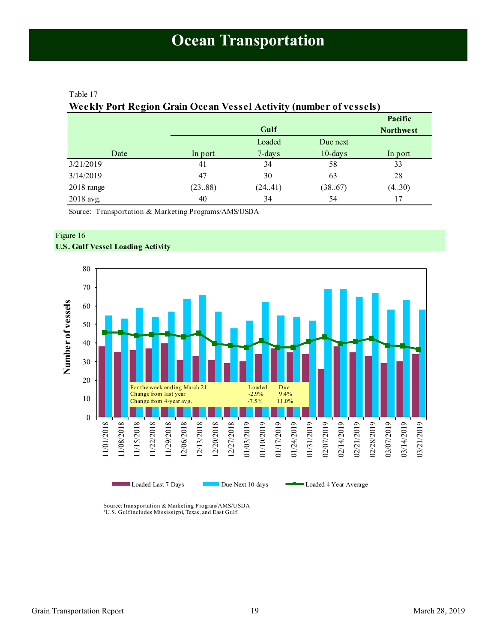#### <span id="page-18-1"></span><span id="page-18-0"></span>Table 17

# **Weekly Port Region Grain Ocean Vessel Activity (number of vessels)**

|                      |         |         |            | Pacific          |
|----------------------|---------|---------|------------|------------------|
|                      |         | Gulf    |            | <b>Northwest</b> |
|                      |         | Loaded  | Due next   |                  |
| Date                 | In port | 7-days  | $10$ -days | In port          |
| 3/21/2019            | 41      | 34      | 58         | 33               |
| 3/14/2019            | 47      | 30      | 63         | 28               |
| $2018 \text{ range}$ | (2388)  | (24.41) | (38.67)    | (430)            |
| 2018 avg.            | 40      | 34      | 54         | 17               |

Source: Transportation & Marketing Programs/AMS/USDA

### Figure 16 **U.S. Gulf Vessel Loading Activity**



Source:Transportation & Marketing Program/AMS/USDA <sup>1</sup>U.S. Gulf includes Mississippi, Texas, and East Gulf.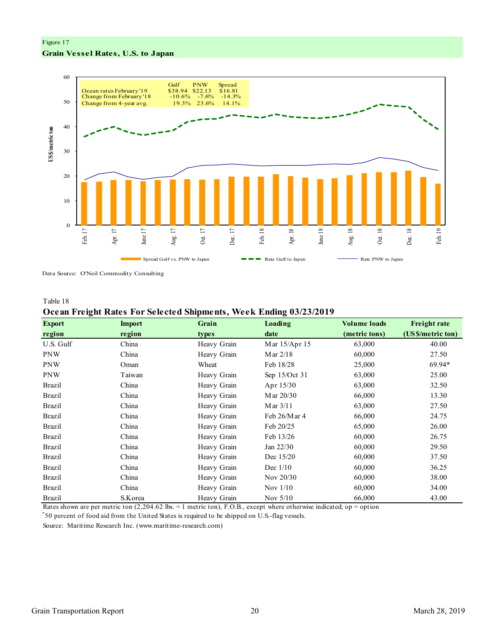## Figure 17 **Grain Vessel Rates, U.S. to Japan**



Data Source: O'Neil Commodity Consulting

#### Table 18

#### **Ocean Freight Rates For Selected Shipments, Week Ending 03/23/2019**

| <b>Export</b> | <b>Import</b> | Grain       | Loading         | <b>Volume loads</b> | <b>Freight rate</b> |
|---------------|---------------|-------------|-----------------|---------------------|---------------------|
| region        | region        | types       | date            | (metric tons)       | (US\$/metric ton)   |
| U.S. Gulf     | China         | Heavy Grain | Mar 15/Apr 15   | 63,000              | 40.00               |
| <b>PNW</b>    | China         | Heavy Grain | Mar $2/18$      | 60,000              | 27.50               |
| <b>PNW</b>    | Oman          | Wheat       | Feb 18/28       | 25,000              | 69.94*              |
| <b>PNW</b>    | Taiwan        | Heavy Grain | Sep 15/Oct 31   | 63,000              | 25.00               |
| <b>Brazil</b> | China         | Heavy Grain | Apr 15/30       | 63,000              | 32.50               |
| <b>Brazil</b> | China         | Heavy Grain | M ar 20/30      | 66,000              | 13.30               |
| <b>Brazil</b> | China         | Heavy Grain | Mar $3/11$      | 63,000              | 27.50               |
| <b>Brazil</b> | China         | Heavy Grain | Feb $26/M$ ar 4 | 66,000              | 24.75               |
| <b>Brazil</b> | China         | Heavy Grain | Feb 20/25       | 65,000              | 26.00               |
| <b>Brazil</b> | China         | Heavy Grain | Feb 13/26       | 60,000              | 26.75               |
| <b>Brazil</b> | China         | Heavy Grain | Jan 22/30       | 60,000              | 29.50               |
| <b>Brazil</b> | China         | Heavy Grain | Dec 15/20       | 60,000              | 37.50               |
| <b>Brazil</b> | China         | Heavy Grain | Dec $1/10$      | 60,000              | 36.25               |
| <b>Brazil</b> | China         | Heavy Grain | Nov 20/30       | 60,000              | 38.00               |
| <b>Brazil</b> | China         | Heavy Grain | Nov $1/10$      | 60,000              | 34.00               |
| <b>Brazil</b> | S.Korea       | Heavy Grain | Nov $5/10$      | 66,000              | 43.00               |

Rates shown are per metric ton (2,204.62 lbs. = 1 metric ton), F.O.B., except where otherwise indicated; op = option

\* 50 percent of food aid from the United States is required to be shipped on U.S.-flag vessels.

Source: Maritime Research Inc. (www.maritime-research.com)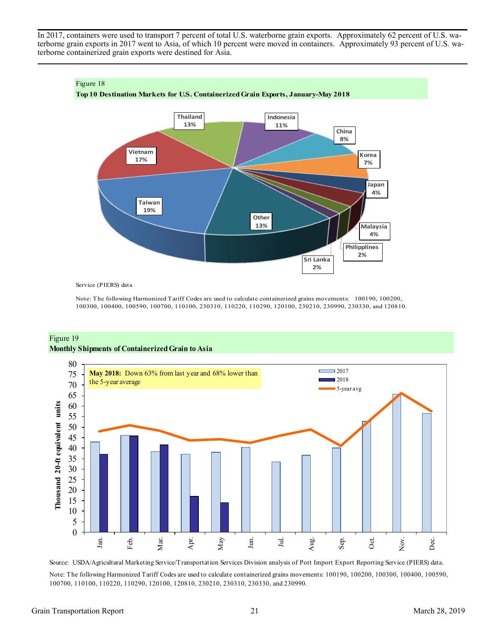In 2017, containers were used to transport 7 percent of total U.S. waterborne grain exports. Approximately 62 percent of U.S. waterborne grain exports in 2017 went to Asia, of which 10 percent were moved in containers. Approximately 93 percent of U.S. waterborne containerized grain exports were destined for Asia.



Service (PIERS) data

Note: The following Harmonized Tariff Codes are used to calculate containerized grains movements: 100190, 100200, 100300, 100400, 100590, 100700, 110100, 230310, 110220, 110290, 120100, 230210, 230990, 230330, and 120810.





Source: USDA/Agricultural Marketing Service/Transportation Services Division analysis of Port Import Export Reporting Service (PIERS) data. Note: The following Harmonized Tariff Codes are used to calculate containerized grains movements: 100190, 100200, 100300, 100400, 100590, 100700, 110100, 110220, 110290, 120100, 120810, 230210, 230310, 230330, and 230990.